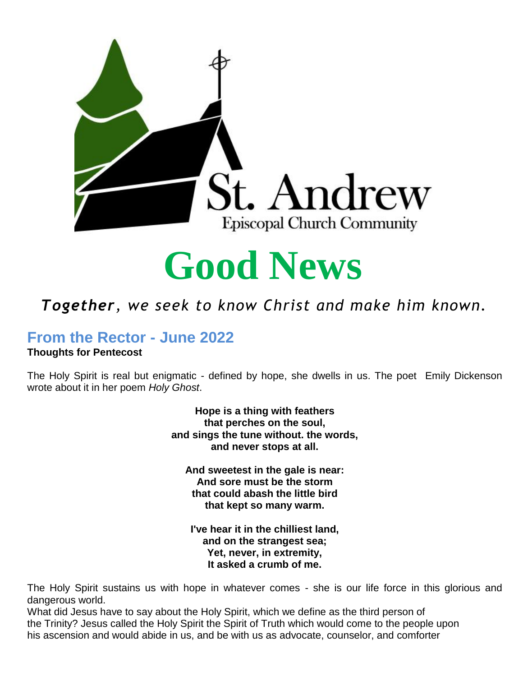



#### *Together, we seek to know Christ and make him known.*

### **From the Rector - June 2022**

#### **Thoughts for Pentecost**

The Holy Spirit is real but enigmatic - defined by hope, she dwells in us. The poet Emily Dickenson *known. Mission Statement*wrote about it in her poem *Holy Ghost*.

> **Hope is a thing with feathers that perches on the soul, and sings the tune without. the words, and never stops at all.**

**And sweetest in the gale is near: And sore must be the storm that could abash the little bird that kept so many warm.**

**I've hear it in the chilliest land, and on the strangest sea; Yet, never, in extremity, It asked a crumb of me.**

The Holy Spirit sustains us with hope in whatever comes - she is our life force in this glorious and dangerous world.

What did Jesus have to say about the Holy Spirit, which we define as the third person of the Trinity? Jesus called the Holy Spirit the Spirit of Truth which would come to the people upon his ascension and would abide in us, and be with us as advocate, counselor, and comforter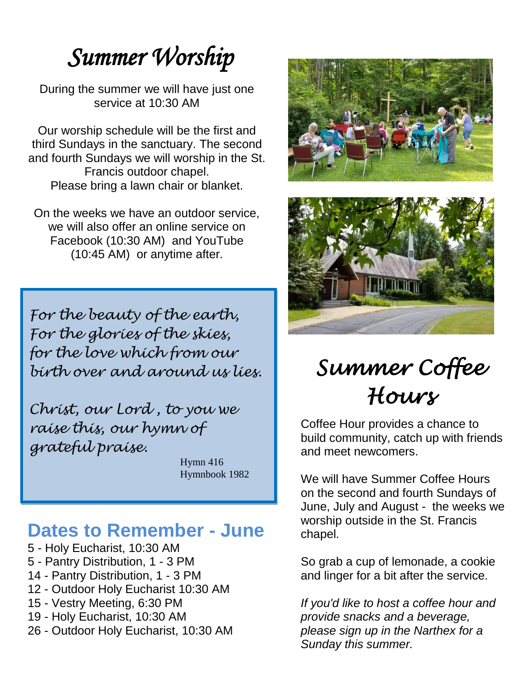# *Summer Worship*

During the summer we will have just one service at 10:30 AM

Our worship schedule will be the first and third Sundays in the sanctuary. The second and fourth Sundays we will worship in the St. Francis outdoor chapel. Please bring a lawn chair or blanket.

On the weeks we have an outdoor service, we will also offer an online service on Facebook (10:30 AM) and YouTube (10:45 AM) or anytime after.

*For the beauty of the earth, For the glories of the skies, for the love which from our birth over and around us lies.*

*Christ, our Lord , to you we raise this, our hymn of grateful praise.*

> Hymn 416 Hymnbook 1982

#### **Dates to Remember - June**

- 5 Holy Eucharist, 10:30 AM 5 - Pantry Distribution, 1 - 3 PM 14 - Pantry Distribution, 1 - 3 PM 12 - Outdoor Holy Eucharist 10:30 AM 15 - Vestry Meeting, 6:30 PM 19 - Holy Eucharist, 10:30 AM
- 26 Outdoor Holy Eucharist, 10:30 AM





# *Summer Coffee Hours*

Coffee Hour provides a chance to build community, catch up with friends and meet newcomers.

We will have Summer Coffee Hours on the second and fourth Sundays of June, July and August - the weeks we worship outside in the St. Francis chapel.

So grab a cup of lemonade, a cookie and linger for a bit after the service.

*If you'd like to host a coffee hour and provide snacks and a beverage, please sign up in the Narthex for a Sunday this summer.*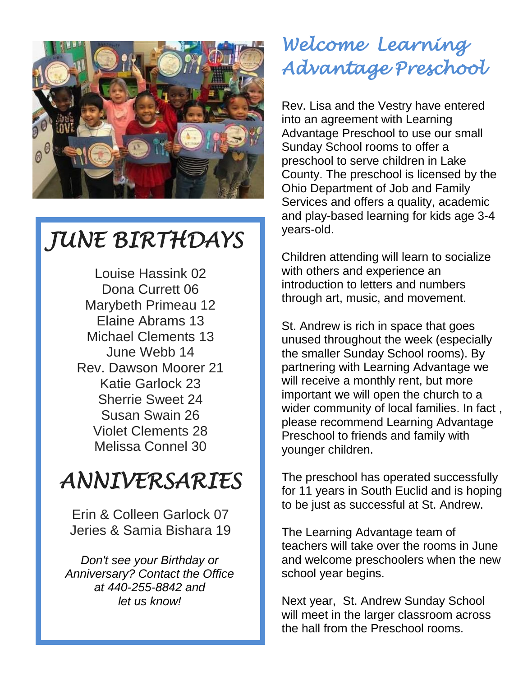

## *JUNE BIRTHDAYS*

Louise Hassink 02 Dona Currett 06 Marybeth Primeau 12 Elaine Abrams 13 Michael Clements 13 June Webb 14 Rev. Dawson Moorer 21 Katie Garlock 23 Sherrie Sweet 24 Susan Swain 26 Violet Clements 28 Melissa Connel 30

### *ANNIVERSARIES*

Erin & Colleen Garlock 07 Jeries & Samia Bishara 19

*Don't see your Birthday or Anniversary? Contact the Office at 440-255-8842 and let us know!*

### *Welcome Learning Advantage Preschool*

Rev. Lisa and the Vestry have entered into an agreement with Learning Advantage Preschool to use our small Sunday School rooms to offer a preschool to serve children in Lake County. The preschool is licensed by the Ohio Department of Job and Family Services and offers a quality, academic and play-based learning for kids age 3-4 years-old.

Children attending will learn to socialize with others and experience an introduction to letters and numbers through art, music, and movement.

St. Andrew is rich in space that goes unused throughout the week (especially the smaller Sunday School rooms). By partnering with Learning Advantage we will receive a monthly rent, but more important we will open the church to a wider community of local families. In fact , please recommend Learning Advantage Preschool to friends and family with younger children.

The preschool has operated successfully for 11 years in South Euclid and is hoping to be just as successful at St. Andrew.

The Learning Advantage team of teachers will take over the rooms in June and welcome preschoolers when the new school year begins.

Next year, St. Andrew Sunday School will meet in the larger classroom across the hall from the Preschool rooms.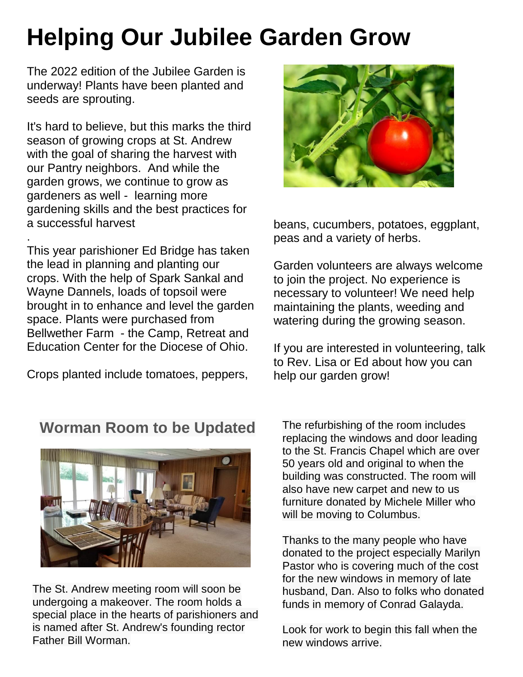# **Helping Our Jubilee Garden Grow**

The 2022 edition of the Jubilee Garden is underway! Plants have been planted and seeds are sprouting.

It's hard to believe, but this marks the third season of growing crops at St. Andrew with the goal of sharing the harvest with our Pantry neighbors. And while the garden grows, we continue to grow as gardeners as well - learning more gardening skills and the best practices for a successful harvest

. This year parishioner Ed Bridge has taken the lead in planning and planting our crops. With the help of Spark Sankal and Wayne Dannels, loads of topsoil were brought in to enhance and level the garden space. Plants were purchased from Bellwether Farm - the Camp, Retreat and Education Center for the Diocese of Ohio.

Crops planted include tomatoes, peppers,



beans, cucumbers, potatoes, eggplant, peas and a variety of herbs.

Garden volunteers are always welcome to join the project. No experience is necessary to volunteer! We need help maintaining the plants, weeding and watering during the growing season.

If you are interested in volunteering, talk to Rev. Lisa or Ed about how you can help our garden grow!

#### **Worman Room to be Updated**



The St. Andrew meeting room will soon be undergoing a makeover. The room holds a special place in the hearts of parishioners and is named after St. Andrew's founding rector Father Bill Worman.

The refurbishing of the room includes replacing the windows and door leading to the St. Francis Chapel which are over 50 years old and original to when the building was constructed. The room will also have new carpet and new to us furniture donated by Michele Miller who will be moving to Columbus.

Thanks to the many people who have donated to the project especially Marilyn Pastor who is covering much of the cost for the new windows in memory of late husband, Dan. Also to folks who donated funds in memory of Conrad Galayda.

Look for work to begin this fall when the new windows arrive.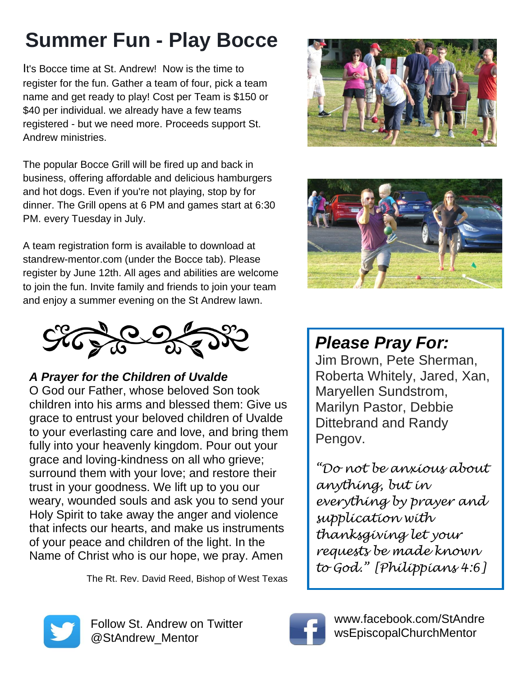# **Summer Fun - Play Bocce**

It's Bocce time at St. Andrew! Now is the time to register for the fun. Gather a team of four, pick a team name and get ready to play! Cost per Team is \$150 or \$40 per individual. we already have a few teams registered - but we need more. Proceeds support St. Andrew ministries.

The popular Bocce Grill will be fired up and back in business, offering affordable and delicious hamburgers and hot dogs. Even if you're not playing, stop by for dinner. The Grill opens at 6 PM and games start at 6:30 PM. every Tuesday in July.

A team registration form is available to download at standrew-mentor.com (under the Bocce tab). Please register by June 12th. All ages and abilities are welcome to join the fun. Invite family and friends to join your team and enjoy a summer evening on the St Andrew lawn.



*A Prayer for the Children of Uvalde*

O God our Father, whose beloved Son took children into his arms and blessed them: Give us grace to entrust your beloved children of Uvalde to your everlasting care and love, and bring them fully into your heavenly kingdom. Pour out your grace and loving-kindness on all who grieve; surround them with your love; and restore their trust in your goodness. We lift up to you our weary, wounded souls and ask you to send your Holy Spirit to take away the anger and violence that infects our hearts, and make us instruments of your peace and children of the light. In the Name of Christ who is our hope, we pray. Amen

The Rt. Rev. David Reed, Bishop of West Texas





### *Please Pray For:*

Jim Brown, Pete Sherman, Roberta Whitely, Jared, Xan, Maryellen Sundstrom, Marilyn Pastor, Debbie Dittebrand and Randy Pengov.

*"Do not be anxious about anything, but in everything by prayer and supplication with thanksgiving let your requests be made known to God." [Philippians 4:6]*



Follow St. Andrew on Twitter @StAndrew\_Mentor



www.facebook.com/StAndre wsEpiscopalChurchMentor